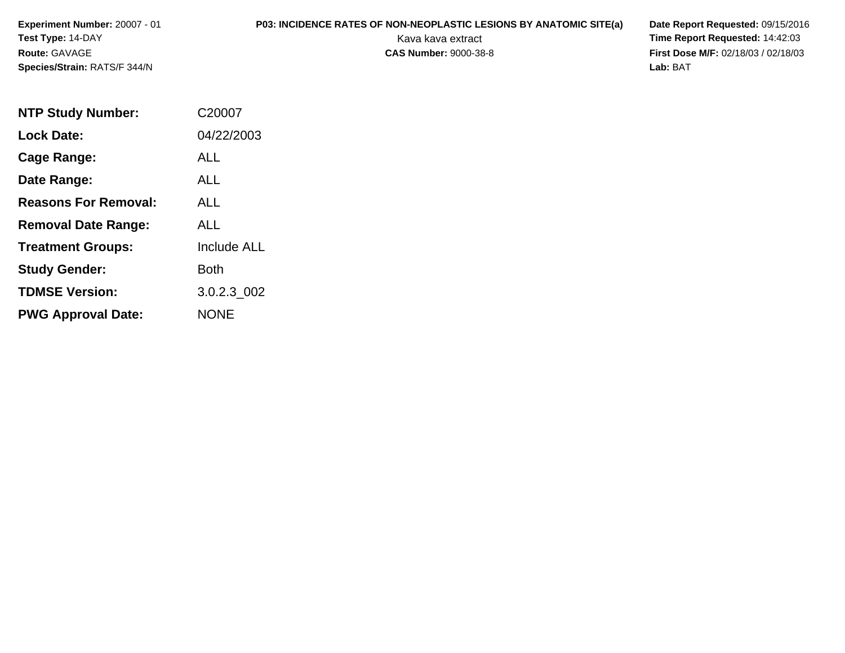**Experiment Number:** 20007 - 01**Test Type:** 14-DAY**Route:** GAVAGE**Species/Strain:** RATS/F 344/N

## **P03: INCIDENCE RATES OF NON-NEOPLASTIC LESIONS BY ANATOMIC SITE(a) Date Report Requested: 09/15/2016<br>Kava kava extract <b>Time Report Requested: 14:42:03**

Kava kava extract **Time Report Requested:** 14:42:03<br>**CAS Number:** 9000-38-8 **Time Report Requested:** 14:42:03 **First Dose M/F:** 02/18/03 / 02/18/03<br>Lab: BAT **Lab:** BAT

| <b>NTP Study Number:</b>    | C <sub>2000</sub> 7 |
|-----------------------------|---------------------|
| <b>Lock Date:</b>           | 04/22/2003          |
| Cage Range:                 | ALL                 |
| Date Range:                 | <b>ALL</b>          |
| <b>Reasons For Removal:</b> | ALL                 |
| <b>Removal Date Range:</b>  | ALL                 |
| <b>Treatment Groups:</b>    | <b>Include ALL</b>  |
| <b>Study Gender:</b>        | Both                |
| <b>TDMSE Version:</b>       | 3.0.2.3 002         |
| <b>PWG Approval Date:</b>   | <b>NONE</b>         |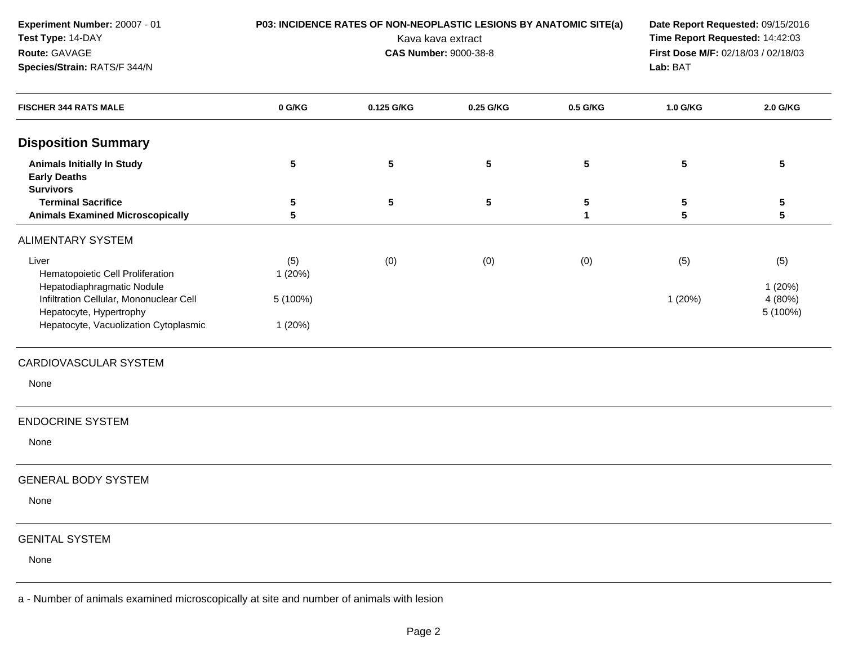| Experiment Number: 20007 - 01                                                            |                   | P03: INCIDENCE RATES OF NON-NEOPLASTIC LESIONS BY ANATOMIC SITE(a) |                              |                                                                        | Date Report Requested: 09/15/2016 |                         |  |
|------------------------------------------------------------------------------------------|-------------------|--------------------------------------------------------------------|------------------------------|------------------------------------------------------------------------|-----------------------------------|-------------------------|--|
| Test Type: 14-DAY                                                                        | Kava kava extract |                                                                    |                              | Time Report Requested: 14:42:03<br>First Dose M/F: 02/18/03 / 02/18/03 |                                   |                         |  |
| Route: GAVAGE                                                                            |                   |                                                                    | <b>CAS Number: 9000-38-8</b> |                                                                        |                                   |                         |  |
| Species/Strain: RATS/F 344/N                                                             |                   |                                                                    |                              |                                                                        | Lab: BAT                          |                         |  |
| <b>FISCHER 344 RATS MALE</b>                                                             | 0 G/KG            | 0.125 G/KG                                                         | 0.25 G/KG                    | 0.5 G/KG                                                               | 1.0 G/KG                          | 2.0 G/KG                |  |
| <b>Disposition Summary</b>                                                               |                   |                                                                    |                              |                                                                        |                                   |                         |  |
| <b>Animals Initially In Study</b><br><b>Early Deaths</b><br><b>Survivors</b>             | 5                 | ${\bf 5}$                                                          | ${\bf 5}$                    | ${\bf 5}$                                                              | 5                                 | $\overline{\mathbf{5}}$ |  |
| <b>Terminal Sacrifice</b><br><b>Animals Examined Microscopically</b>                     | 5<br>5            | ${\bf 5}$                                                          | ${\bf 5}$                    | 5<br>$\mathbf 1$                                                       | 5<br>5                            | 5<br>5                  |  |
| <b>ALIMENTARY SYSTEM</b>                                                                 |                   |                                                                    |                              |                                                                        |                                   |                         |  |
| Liver                                                                                    | (5)               | (0)                                                                | (0)                          | (0)                                                                    | (5)                               | (5)                     |  |
| Hematopoietic Cell Proliferation                                                         | 1(20%)            |                                                                    |                              |                                                                        |                                   |                         |  |
| Hepatodiaphragmatic Nodule                                                               |                   |                                                                    |                              |                                                                        |                                   | 1(20%)                  |  |
| Infiltration Cellular, Mononuclear Cell                                                  | 5 (100%)          |                                                                    |                              |                                                                        | 1(20%)                            | 4 (80%)                 |  |
| Hepatocyte, Hypertrophy<br>Hepatocyte, Vacuolization Cytoplasmic                         | 1(20%)            |                                                                    |                              |                                                                        |                                   | 5 (100%)                |  |
| CARDIOVASCULAR SYSTEM                                                                    |                   |                                                                    |                              |                                                                        |                                   |                         |  |
| None                                                                                     |                   |                                                                    |                              |                                                                        |                                   |                         |  |
| <b>ENDOCRINE SYSTEM</b>                                                                  |                   |                                                                    |                              |                                                                        |                                   |                         |  |
| None                                                                                     |                   |                                                                    |                              |                                                                        |                                   |                         |  |
| <b>GENERAL BODY SYSTEM</b>                                                               |                   |                                                                    |                              |                                                                        |                                   |                         |  |
| None                                                                                     |                   |                                                                    |                              |                                                                        |                                   |                         |  |
| <b>GENITAL SYSTEM</b>                                                                    |                   |                                                                    |                              |                                                                        |                                   |                         |  |
| None                                                                                     |                   |                                                                    |                              |                                                                        |                                   |                         |  |
| a - Number of animals examined microscopically at site and number of animals with lesion |                   |                                                                    |                              |                                                                        |                                   |                         |  |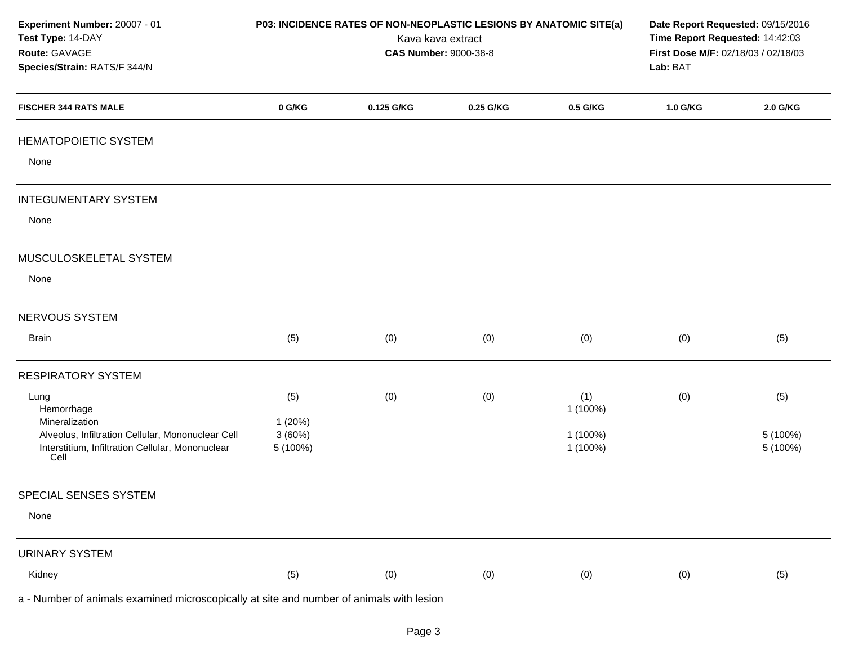| Experiment Number: 20007 - 01<br>Test Type: 14-DAY<br>Route: GAVAGE<br>Species/Strain: RATS/F 344/N                             |                              | P03: INCIDENCE RATES OF NON-NEOPLASTIC LESIONS BY ANATOMIC SITE(a) | Kava kava extract<br><b>CAS Number: 9000-38-8</b> |                      | Date Report Requested: 09/15/2016<br>Time Report Requested: 14:42:03<br>First Dose M/F: 02/18/03 / 02/18/03<br>Lab: BAT |                      |
|---------------------------------------------------------------------------------------------------------------------------------|------------------------------|--------------------------------------------------------------------|---------------------------------------------------|----------------------|-------------------------------------------------------------------------------------------------------------------------|----------------------|
| <b>FISCHER 344 RATS MALE</b>                                                                                                    | 0 G/KG                       | 0.125 G/KG                                                         | 0.25 G/KG                                         | 0.5 G/KG             | 1.0 G/KG                                                                                                                | 2.0 G/KG             |
| <b>HEMATOPOIETIC SYSTEM</b>                                                                                                     |                              |                                                                    |                                                   |                      |                                                                                                                         |                      |
| None                                                                                                                            |                              |                                                                    |                                                   |                      |                                                                                                                         |                      |
| <b>INTEGUMENTARY SYSTEM</b>                                                                                                     |                              |                                                                    |                                                   |                      |                                                                                                                         |                      |
| None                                                                                                                            |                              |                                                                    |                                                   |                      |                                                                                                                         |                      |
| MUSCULOSKELETAL SYSTEM                                                                                                          |                              |                                                                    |                                                   |                      |                                                                                                                         |                      |
| None                                                                                                                            |                              |                                                                    |                                                   |                      |                                                                                                                         |                      |
| NERVOUS SYSTEM                                                                                                                  |                              |                                                                    |                                                   |                      |                                                                                                                         |                      |
| <b>Brain</b>                                                                                                                    | (5)                          | (0)                                                                | (0)                                               | (0)                  | (0)                                                                                                                     | (5)                  |
| <b>RESPIRATORY SYSTEM</b>                                                                                                       |                              |                                                                    |                                                   |                      |                                                                                                                         |                      |
| Lung<br>Hemorrhage                                                                                                              | (5)                          | (0)                                                                | (0)                                               | (1)<br>1 (100%)      | (0)                                                                                                                     | (5)                  |
| Mineralization<br>Alveolus, Infiltration Cellular, Mononuclear Cell<br>Interstitium, Infiltration Cellular, Mononuclear<br>Cell | 1(20%)<br>3(60%)<br>5 (100%) |                                                                    |                                                   | 1 (100%)<br>1 (100%) |                                                                                                                         | 5 (100%)<br>5 (100%) |
| SPECIAL SENSES SYSTEM                                                                                                           |                              |                                                                    |                                                   |                      |                                                                                                                         |                      |
| None                                                                                                                            |                              |                                                                    |                                                   |                      |                                                                                                                         |                      |
| <b>URINARY SYSTEM</b>                                                                                                           |                              |                                                                    |                                                   |                      |                                                                                                                         |                      |
| Kidney                                                                                                                          | (5)                          | (0)                                                                | (0)                                               | (0)                  | (0)                                                                                                                     | (5)                  |
| a - Number of animals examined microscopically at site and number of animals with lesion                                        |                              |                                                                    |                                                   |                      |                                                                                                                         |                      |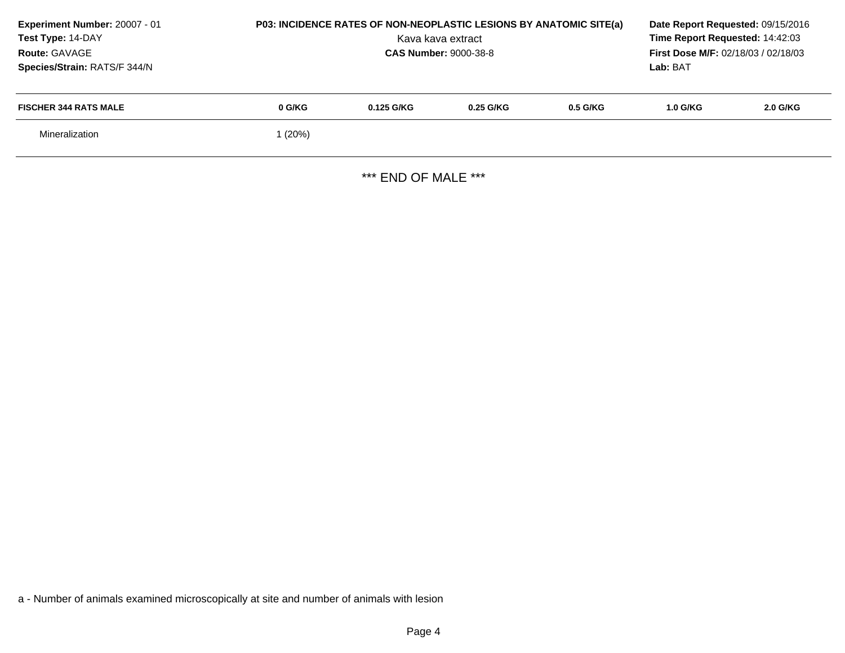| Experiment Number: 20007 - 01<br>Test Type: 14-DAY<br>Route: GAVAGE<br>Species/Strain: RATS/F 344/N | P03: INCIDENCE RATES OF NON-NEOPLASTIC LESIONS BY ANATOMIC SITE(a)<br>Kava kava extract<br><b>CAS Number: 9000-38-8</b> |            |             |            | Date Report Requested: 09/15/2016<br>Time Report Requested: 14:42:03<br><b>First Dose M/F: 02/18/03 / 02/18/03</b><br>Lab: BAT |          |
|-----------------------------------------------------------------------------------------------------|-------------------------------------------------------------------------------------------------------------------------|------------|-------------|------------|--------------------------------------------------------------------------------------------------------------------------------|----------|
| <b>FISCHER 344 RATS MALE</b>                                                                        | 0 G/KG                                                                                                                  | 0.125 G/KG | $0.25$ G/KG | $0.5$ G/KG | 1.0 G/KG                                                                                                                       | 2.0 G/KG |
| Mineralization                                                                                      | l (20%)                                                                                                                 |            |             |            |                                                                                                                                |          |

\*\*\* END OF MALE \*\*\*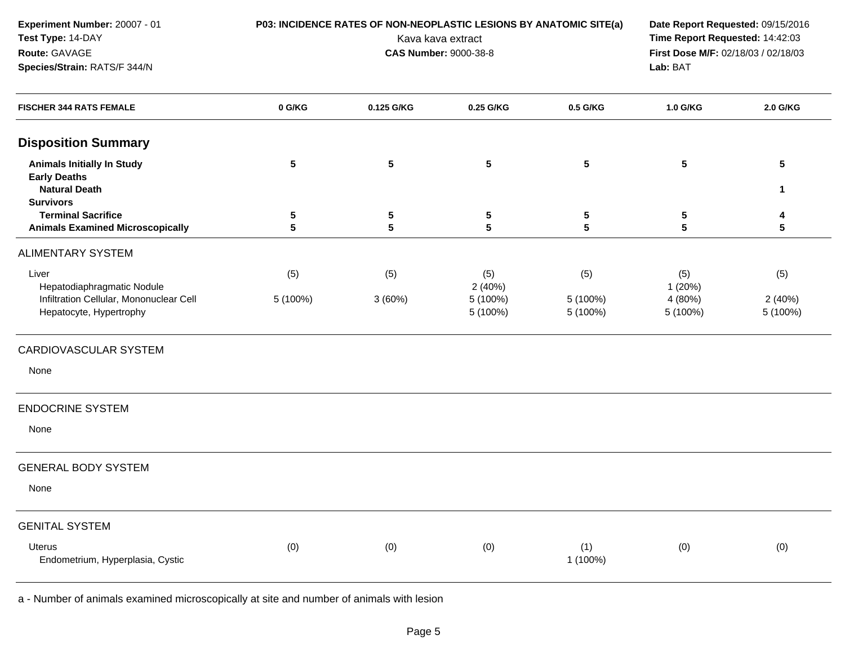| Experiment Number: 20007 - 01                            |                 | P03: INCIDENCE RATES OF NON-NEOPLASTIC LESIONS BY ANATOMIC SITE(a) |                              |            | Date Report Requested: 09/15/2016   |              |  |  |
|----------------------------------------------------------|-----------------|--------------------------------------------------------------------|------------------------------|------------|-------------------------------------|--------------|--|--|
| Test Type: 14-DAY                                        |                 |                                                                    | Kava kava extract            |            | Time Report Requested: 14:42:03     |              |  |  |
| Route: GAVAGE                                            |                 |                                                                    | <b>CAS Number: 9000-38-8</b> |            | First Dose M/F: 02/18/03 / 02/18/03 |              |  |  |
| Species/Strain: RATS/F 344/N                             |                 |                                                                    |                              |            | Lab: BAT                            |              |  |  |
| <b>FISCHER 344 RATS FEMALE</b>                           | 0 G/KG          | 0.125 G/KG                                                         | 0.25 G/KG                    | 0.5 G/KG   | 1.0 G/KG                            | 2.0 G/KG     |  |  |
| <b>Disposition Summary</b>                               |                 |                                                                    |                              |            |                                     |              |  |  |
| <b>Animals Initially In Study</b><br><b>Early Deaths</b> | $5\phantom{.0}$ | 5                                                                  | ${\bf 5}$                    | $\sqrt{5}$ | $5\phantom{.0}$                     | 5            |  |  |
| <b>Natural Death</b><br><b>Survivors</b>                 |                 |                                                                    |                              |            |                                     | $\mathbf{1}$ |  |  |
| <b>Terminal Sacrifice</b>                                | 5               | 5                                                                  | 5                            | $\sqrt{5}$ | 5                                   | 4            |  |  |
| <b>Animals Examined Microscopically</b>                  | 5               | 5                                                                  | 5                            | 5          | $5\phantom{.0}$                     | 5            |  |  |
| <b>ALIMENTARY SYSTEM</b>                                 |                 |                                                                    |                              |            |                                     |              |  |  |
| Liver<br>Hepatodiaphragmatic Nodule                      | (5)             | (5)                                                                | (5)<br>2(40%)                | (5)        | (5)<br>1(20%)                       | (5)          |  |  |
| Infiltration Cellular, Mononuclear Cell                  | 5 (100%)        | 3(60%)                                                             | 5 (100%)                     | 5 (100%)   | 4 (80%)                             | 2(40%)       |  |  |
| Hepatocyte, Hypertrophy                                  |                 |                                                                    | 5 (100%)                     | 5 (100%)   | 5 (100%)                            | 5 (100%)     |  |  |
| CARDIOVASCULAR SYSTEM                                    |                 |                                                                    |                              |            |                                     |              |  |  |
| None                                                     |                 |                                                                    |                              |            |                                     |              |  |  |
| <b>ENDOCRINE SYSTEM</b>                                  |                 |                                                                    |                              |            |                                     |              |  |  |
| None                                                     |                 |                                                                    |                              |            |                                     |              |  |  |
| <b>GENERAL BODY SYSTEM</b>                               |                 |                                                                    |                              |            |                                     |              |  |  |
| None                                                     |                 |                                                                    |                              |            |                                     |              |  |  |
| <b>GENITAL SYSTEM</b>                                    |                 |                                                                    |                              |            |                                     |              |  |  |
| <b>Uterus</b>                                            | (0)             | (0)                                                                | (0)                          | (1)        | (0)                                 | (0)          |  |  |
| Endometrium, Hyperplasia, Cystic                         |                 |                                                                    |                              | 1 (100%)   |                                     |              |  |  |
|                                                          |                 |                                                                    |                              |            |                                     |              |  |  |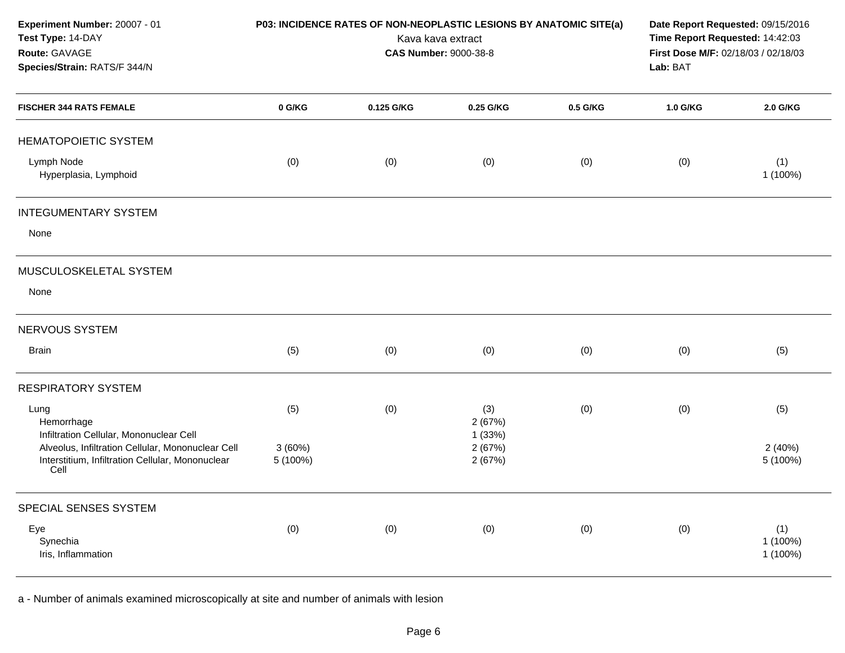| Experiment Number: 20007 - 01<br>Test Type: 14-DAY<br>Route: GAVAGE<br>Species/Strain: RATS/F 344/N                                              | P03: INCIDENCE RATES OF NON-NEOPLASTIC LESIONS BY ANATOMIC SITE(a)<br>Kava kava extract<br><b>CAS Number: 9000-38-8</b> |            |                            |          | Time Report Requested: 14:42:03<br>Lab: BAT |                             |  | Date Report Requested: 09/15/2016<br>First Dose M/F: 02/18/03 / 02/18/03 |  |
|--------------------------------------------------------------------------------------------------------------------------------------------------|-------------------------------------------------------------------------------------------------------------------------|------------|----------------------------|----------|---------------------------------------------|-----------------------------|--|--------------------------------------------------------------------------|--|
| <b>FISCHER 344 RATS FEMALE</b>                                                                                                                   | 0 G/KG                                                                                                                  | 0.125 G/KG | 0.25 G/KG                  | 0.5 G/KG | 1.0 G/KG                                    | 2.0 G/KG                    |  |                                                                          |  |
| HEMATOPOIETIC SYSTEM                                                                                                                             |                                                                                                                         |            |                            |          |                                             |                             |  |                                                                          |  |
| Lymph Node<br>Hyperplasia, Lymphoid                                                                                                              | (0)                                                                                                                     | (0)        | (0)                        | (0)      | (0)                                         | (1)<br>1 (100%)             |  |                                                                          |  |
| <b>INTEGUMENTARY SYSTEM</b>                                                                                                                      |                                                                                                                         |            |                            |          |                                             |                             |  |                                                                          |  |
| None                                                                                                                                             |                                                                                                                         |            |                            |          |                                             |                             |  |                                                                          |  |
| MUSCULOSKELETAL SYSTEM                                                                                                                           |                                                                                                                         |            |                            |          |                                             |                             |  |                                                                          |  |
| None                                                                                                                                             |                                                                                                                         |            |                            |          |                                             |                             |  |                                                                          |  |
| NERVOUS SYSTEM                                                                                                                                   |                                                                                                                         |            |                            |          |                                             |                             |  |                                                                          |  |
| <b>Brain</b>                                                                                                                                     | (5)                                                                                                                     | (0)        | (0)                        | (0)      | (0)                                         | (5)                         |  |                                                                          |  |
| <b>RESPIRATORY SYSTEM</b>                                                                                                                        |                                                                                                                         |            |                            |          |                                             |                             |  |                                                                          |  |
| Lung<br>Hemorrhage                                                                                                                               | (5)                                                                                                                     | (0)        | (3)<br>2(67%)              | (0)      | (0)                                         | (5)                         |  |                                                                          |  |
| Infiltration Cellular, Mononuclear Cell<br>Alveolus, Infiltration Cellular, Mononuclear Cell<br>Interstitium, Infiltration Cellular, Mononuclear | 3(60%)<br>5 (100%)                                                                                                      |            | 1(33%)<br>2(67%)<br>2(67%) |          |                                             | 2(40%)<br>5 (100%)          |  |                                                                          |  |
| Cell                                                                                                                                             |                                                                                                                         |            |                            |          |                                             |                             |  |                                                                          |  |
| SPECIAL SENSES SYSTEM                                                                                                                            |                                                                                                                         |            |                            |          |                                             |                             |  |                                                                          |  |
| Eye<br>Synechia<br>Iris, Inflammation                                                                                                            | (0)                                                                                                                     | (0)        | (0)                        | (0)      | (0)                                         | (1)<br>1 (100%)<br>1 (100%) |  |                                                                          |  |